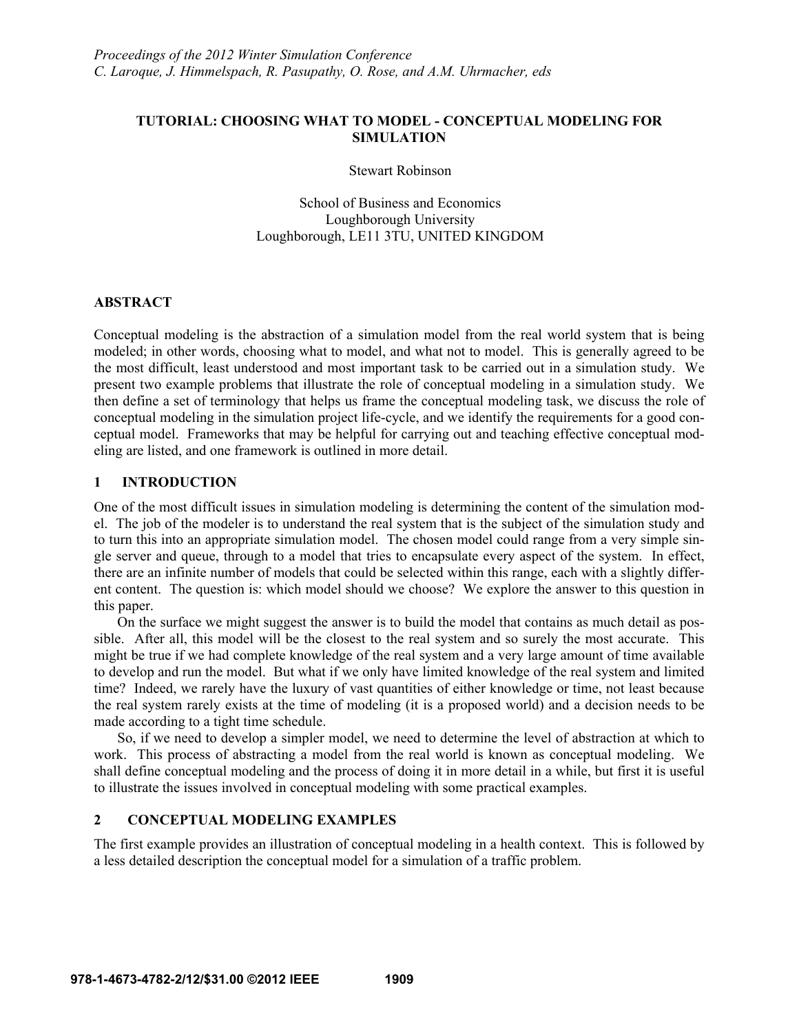# **TUTORIAL: CHOOSING WHAT TO MODEL - CONCEPTUAL MODELING FOR SIMULATION**

Stewart Robinson

School of Business and Economics Loughborough University Loughborough, LE11 3TU, UNITED KINGDOM

# **ABSTRACT**

Conceptual modeling is the abstraction of a simulation model from the real world system that is being modeled; in other words, choosing what to model, and what not to model. This is generally agreed to be the most difficult, least understood and most important task to be carried out in a simulation study. We present two example problems that illustrate the role of conceptual modeling in a simulation study. We then define a set of terminology that helps us frame the conceptual modeling task, we discuss the role of conceptual modeling in the simulation project life-cycle, and we identify the requirements for a good conceptual model. Frameworks that may be helpful for carrying out and teaching effective conceptual modeling are listed, and one framework is outlined in more detail.

## **1 INTRODUCTION**

One of the most difficult issues in simulation modeling is determining the content of the simulation model. The job of the modeler is to understand the real system that is the subject of the simulation study and to turn this into an appropriate simulation model. The chosen model could range from a very simple single server and queue, through to a model that tries to encapsulate every aspect of the system. In effect, there are an infinite number of models that could be selected within this range, each with a slightly different content. The question is: which model should we choose? We explore the answer to this question in this paper.

 On the surface we might suggest the answer is to build the model that contains as much detail as possible. After all, this model will be the closest to the real system and so surely the most accurate. This might be true if we had complete knowledge of the real system and a very large amount of time available to develop and run the model. But what if we only have limited knowledge of the real system and limited time? Indeed, we rarely have the luxury of vast quantities of either knowledge or time, not least because the real system rarely exists at the time of modeling (it is a proposed world) and a decision needs to be made according to a tight time schedule.

 So, if we need to develop a simpler model, we need to determine the level of abstraction at which to work. This process of abstracting a model from the real world is known as conceptual modeling. We shall define conceptual modeling and the process of doing it in more detail in a while, but first it is useful to illustrate the issues involved in conceptual modeling with some practical examples.

# **2 CONCEPTUAL MODELING EXAMPLES**

The first example provides an illustration of conceptual modeling in a health context. This is followed by a less detailed description the conceptual model for a simulation of a traffic problem.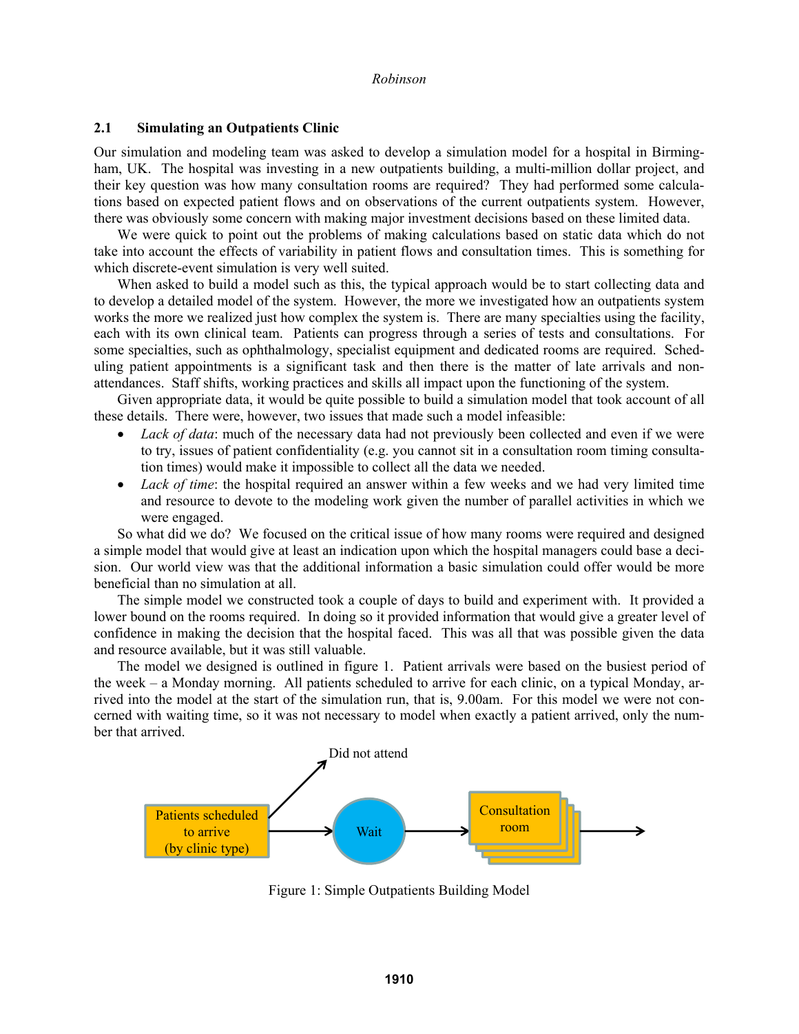#### **2.1 Simulating an Outpatients Clinic**

Our simulation and modeling team was asked to develop a simulation model for a hospital in Birmingham, UK. The hospital was investing in a new outpatients building, a multi-million dollar project, and their key question was how many consultation rooms are required? They had performed some calculations based on expected patient flows and on observations of the current outpatients system. However, there was obviously some concern with making major investment decisions based on these limited data.

 We were quick to point out the problems of making calculations based on static data which do not take into account the effects of variability in patient flows and consultation times. This is something for which discrete-event simulation is very well suited.

When asked to build a model such as this, the typical approach would be to start collecting data and to develop a detailed model of the system. However, the more we investigated how an outpatients system works the more we realized just how complex the system is. There are many specialties using the facility, each with its own clinical team. Patients can progress through a series of tests and consultations. For some specialties, such as ophthalmology, specialist equipment and dedicated rooms are required. Scheduling patient appointments is a significant task and then there is the matter of late arrivals and nonattendances. Staff shifts, working practices and skills all impact upon the functioning of the system.

 Given appropriate data, it would be quite possible to build a simulation model that took account of all these details. There were, however, two issues that made such a model infeasible:

- *Lack of data*: much of the necessary data had not previously been collected and even if we were to try, issues of patient confidentiality (e.g. you cannot sit in a consultation room timing consultation times) would make it impossible to collect all the data we needed.
- *Lack of time*: the hospital required an answer within a few weeks and we had very limited time and resource to devote to the modeling work given the number of parallel activities in which we were engaged.

 So what did we do? We focused on the critical issue of how many rooms were required and designed a simple model that would give at least an indication upon which the hospital managers could base a decision. Our world view was that the additional information a basic simulation could offer would be more beneficial than no simulation at all.

 The simple model we constructed took a couple of days to build and experiment with. It provided a lower bound on the rooms required. In doing so it provided information that would give a greater level of confidence in making the decision that the hospital faced. This was all that was possible given the data and resource available, but it was still valuable.

 The model we designed is outlined in figure 1. Patient arrivals were based on the busiest period of the week – a Monday morning. All patients scheduled to arrive for each clinic, on a typical Monday, arrived into the model at the start of the simulation run, that is, 9.00am. For this model we were not concerned with waiting time, so it was not necessary to model when exactly a patient arrived, only the number that arrived.



Figure 1: Simple Outpatients Building Model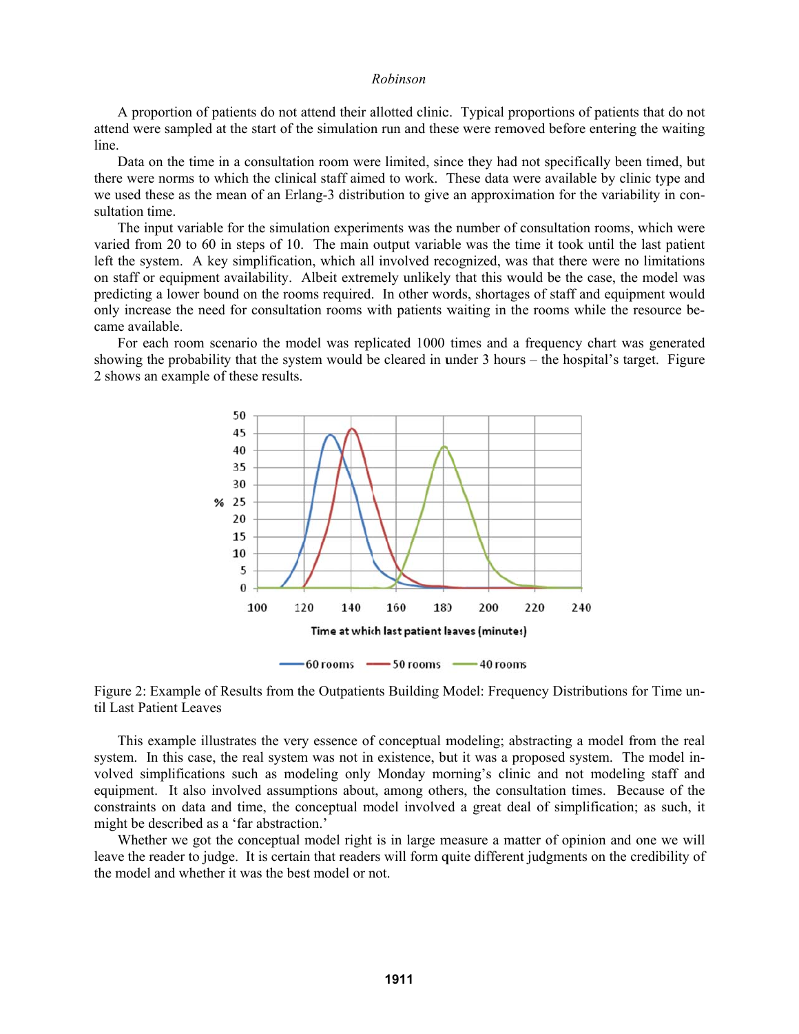A proportion of patients do not attend their allotted clinic. Typical proportions of patients that do not attend were sampled at the start of the simulation run and these were removed before entering the waiting line.

Data on the time in a consultation room were limited, since they had not specifically been timed, but there were norms to which the clinical staff aimed to work. These data were available by clinic type and we used these as the mean of an Erlang-3 distribution to give an approximation for the variability in consultation time.

The input variable for the simulation experiments was the number of consultation rooms, which were varied from 20 to 60 in steps of 10. The main output variable was the time it took until the last patient left the system. A key simplification, which all involved recognized, was that there were no limitations on staff or equipment availability. Albeit extremely unlikely that this would be the case, the model was predicting a lower bound on the rooms required. In other words, shortages of staff and equipment would only increase the need for consultation rooms with patients waiting in the rooms while the resource became available.

For each room scenario the model was replicated 1000 times and a frequency chart was generated showing the probability that the system would be cleared in under 3 hours – the hospital's target. Figure 2 shows an example of these results.





This example illustrates the very essence of conceptual modeling; abstracting a model from the real system. In this case, the real system was not in existence, but it was a proposed system. The model involved simplifications such as modeling only Monday morning's clinic and not modeling staff and equipment. It also involved assumptions about, among others, the consultation times. Because of the constraints on data and time, the conceptual model involved a great deal of simplification; as such, it might be described as a 'far abstraction.'

Whether we got the conceptual model right is in large measure a matter of opinion and one we will leave the reader to judge. It is certain that readers will form quite different judgments on the credibility of the model and whether it was the best model or not.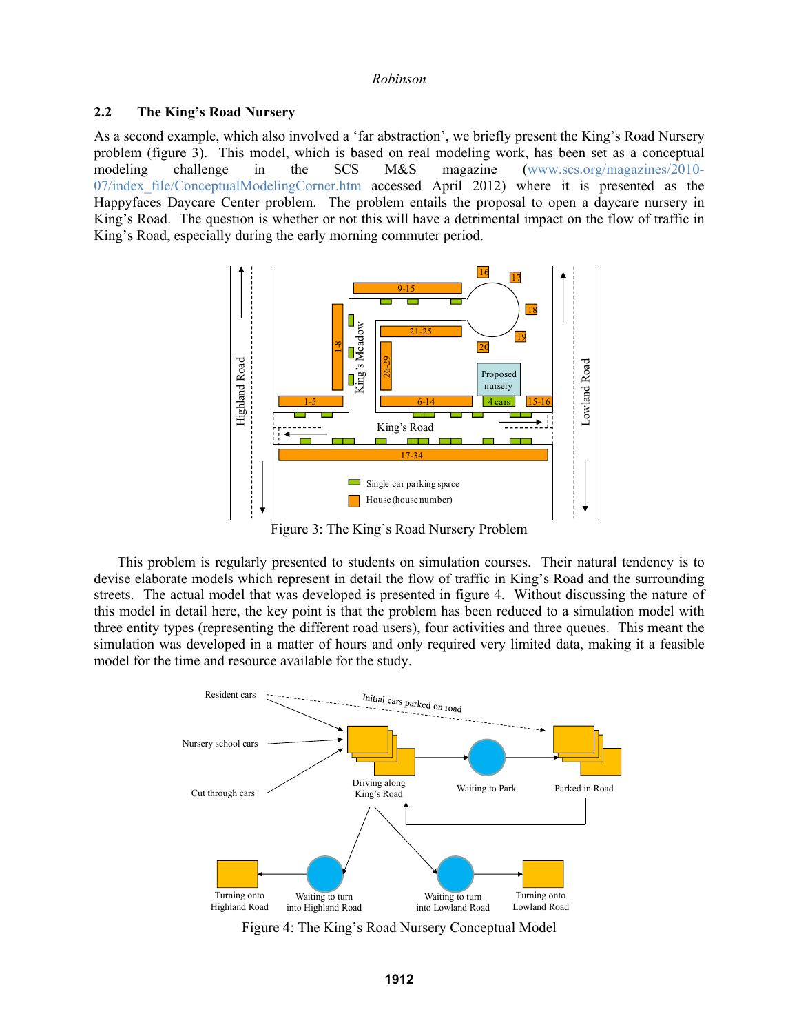# **2.2 The King's Road Nursery**

As a second example, which also involved a 'far abstraction', we briefly present the King's Road Nursery problem (figure 3). This model, which is based on real modeling work, has been set as a conceptual modeling challenge in the SCS M&S magazine (www.scs.org/magazines/2010- 07/index file/ConceptualModelingCorner.htm accessed April 2012) where it is presented as the Happyfaces Daycare Center problem. The problem entails the proposal to open a daycare nursery in King's Road. The question is whether or not this will have a detrimental impact on the flow of traffic in King's Road, especially during the early morning commuter period.



Figure 3: The King's Road Nursery Problem

 This problem is regularly presented to students on simulation courses. Their natural tendency is to devise elaborate models which represent in detail the flow of traffic in King's Road and the surrounding streets. The actual model that was developed is presented in figure 4. Without discussing the nature of this model in detail here, the key point is that the problem has been reduced to a simulation model with three entity types (representing the different road users), four activities and three queues. This meant the simulation was developed in a matter of hours and only required very limited data, making it a feasible model for the time and resource available for the study.



Figure 4: The King's Road Nursery Conceptual Model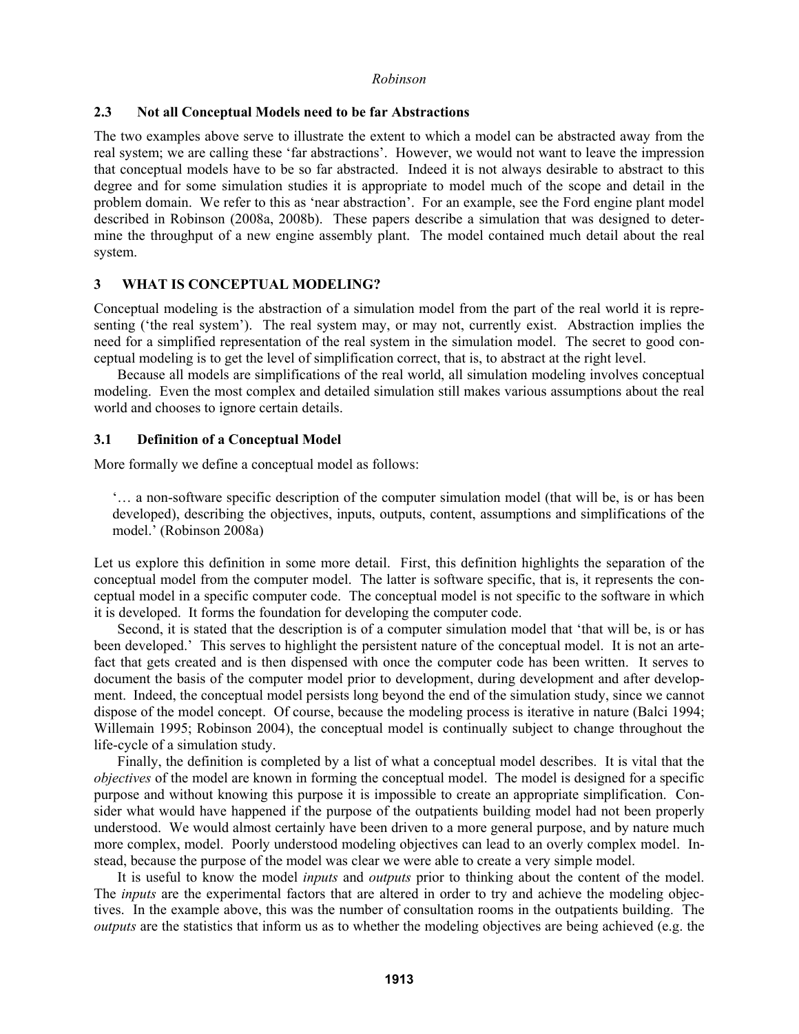## **2.3 Not all Conceptual Models need to be far Abstractions**

The two examples above serve to illustrate the extent to which a model can be abstracted away from the real system; we are calling these 'far abstractions'. However, we would not want to leave the impression that conceptual models have to be so far abstracted. Indeed it is not always desirable to abstract to this degree and for some simulation studies it is appropriate to model much of the scope and detail in the problem domain. We refer to this as 'near abstraction'. For an example, see the Ford engine plant model described in Robinson (2008a, 2008b). These papers describe a simulation that was designed to determine the throughput of a new engine assembly plant. The model contained much detail about the real system.

## **3 WHAT IS CONCEPTUAL MODELING?**

Conceptual modeling is the abstraction of a simulation model from the part of the real world it is representing ('the real system'). The real system may, or may not, currently exist. Abstraction implies the need for a simplified representation of the real system in the simulation model. The secret to good conceptual modeling is to get the level of simplification correct, that is, to abstract at the right level.

 Because all models are simplifications of the real world, all simulation modeling involves conceptual modeling. Even the most complex and detailed simulation still makes various assumptions about the real world and chooses to ignore certain details.

## **3.1 Definition of a Conceptual Model**

More formally we define a conceptual model as follows:

'… a non-software specific description of the computer simulation model (that will be, is or has been developed), describing the objectives, inputs, outputs, content, assumptions and simplifications of the model.' (Robinson 2008a)

Let us explore this definition in some more detail. First, this definition highlights the separation of the conceptual model from the computer model. The latter is software specific, that is, it represents the conceptual model in a specific computer code. The conceptual model is not specific to the software in which it is developed. It forms the foundation for developing the computer code.

 Second, it is stated that the description is of a computer simulation model that 'that will be, is or has been developed.' This serves to highlight the persistent nature of the conceptual model. It is not an artefact that gets created and is then dispensed with once the computer code has been written. It serves to document the basis of the computer model prior to development, during development and after development. Indeed, the conceptual model persists long beyond the end of the simulation study, since we cannot dispose of the model concept. Of course, because the modeling process is iterative in nature (Balci 1994; Willemain 1995; Robinson 2004), the conceptual model is continually subject to change throughout the life-cycle of a simulation study.

 Finally, the definition is completed by a list of what a conceptual model describes. It is vital that the *objectives* of the model are known in forming the conceptual model. The model is designed for a specific purpose and without knowing this purpose it is impossible to create an appropriate simplification. Consider what would have happened if the purpose of the outpatients building model had not been properly understood. We would almost certainly have been driven to a more general purpose, and by nature much more complex, model. Poorly understood modeling objectives can lead to an overly complex model. Instead, because the purpose of the model was clear we were able to create a very simple model.

 It is useful to know the model *inputs* and *outputs* prior to thinking about the content of the model. The *inputs* are the experimental factors that are altered in order to try and achieve the modeling objectives. In the example above, this was the number of consultation rooms in the outpatients building. The *outputs* are the statistics that inform us as to whether the modeling objectives are being achieved (e.g. the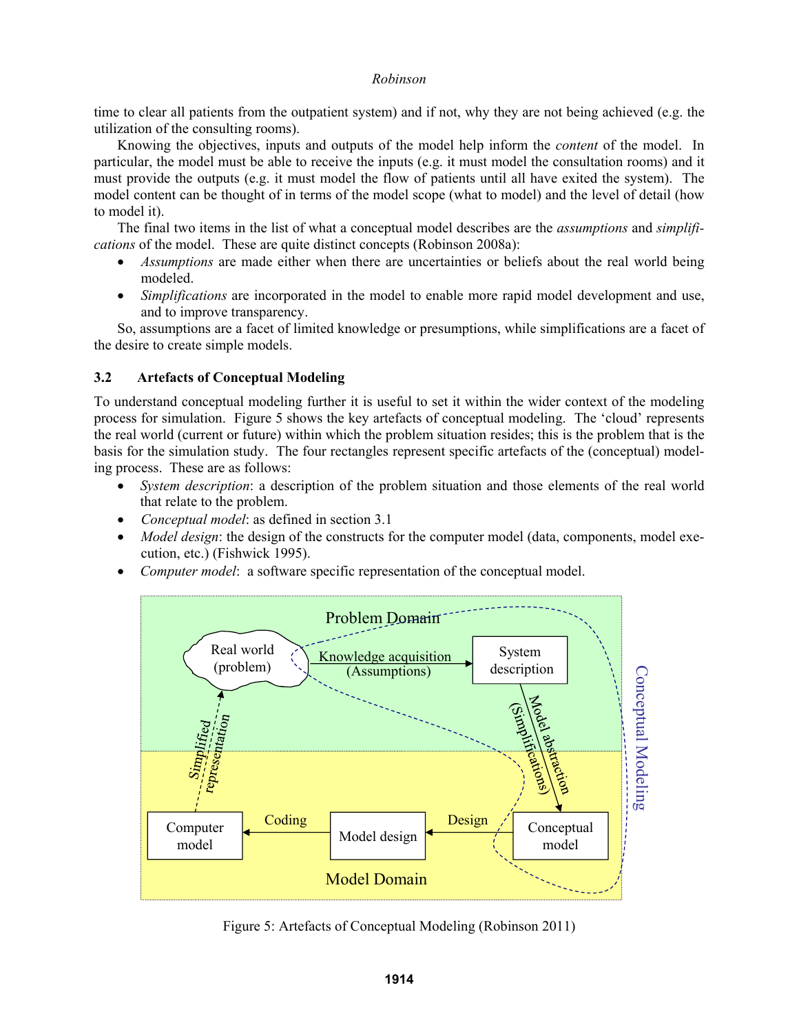time to clear all patients from the outpatient system) and if not, why they are not being achieved (e.g. the utilization of the consulting rooms).

 Knowing the objectives, inputs and outputs of the model help inform the *content* of the model. In particular, the model must be able to receive the inputs (e.g. it must model the consultation rooms) and it must provide the outputs (e.g. it must model the flow of patients until all have exited the system). The model content can be thought of in terms of the model scope (what to model) and the level of detail (how to model it).

 The final two items in the list of what a conceptual model describes are the *assumptions* and *simplifications* of the model. These are quite distinct concepts (Robinson 2008a):

- *Assumptions* are made either when there are uncertainties or beliefs about the real world being modeled.
- *Simplifications* are incorporated in the model to enable more rapid model development and use, and to improve transparency.

 So, assumptions are a facet of limited knowledge or presumptions, while simplifications are a facet of the desire to create simple models.

# **3.2 Artefacts of Conceptual Modeling**

To understand conceptual modeling further it is useful to set it within the wider context of the modeling process for simulation. Figure 5 shows the key artefacts of conceptual modeling. The 'cloud' represents the real world (current or future) within which the problem situation resides; this is the problem that is the basis for the simulation study. The four rectangles represent specific artefacts of the (conceptual) modeling process. These are as follows:

- *System description*: a description of the problem situation and those elements of the real world that relate to the problem.
- *Conceptual model*: as defined in section 3.1
- *Model design*: the design of the constructs for the computer model (data, components, model execution, etc.) (Fishwick 1995).
- *Computer model*: a software specific representation of the conceptual model.



Figure 5: Artefacts of Conceptual Modeling (Robinson 2011)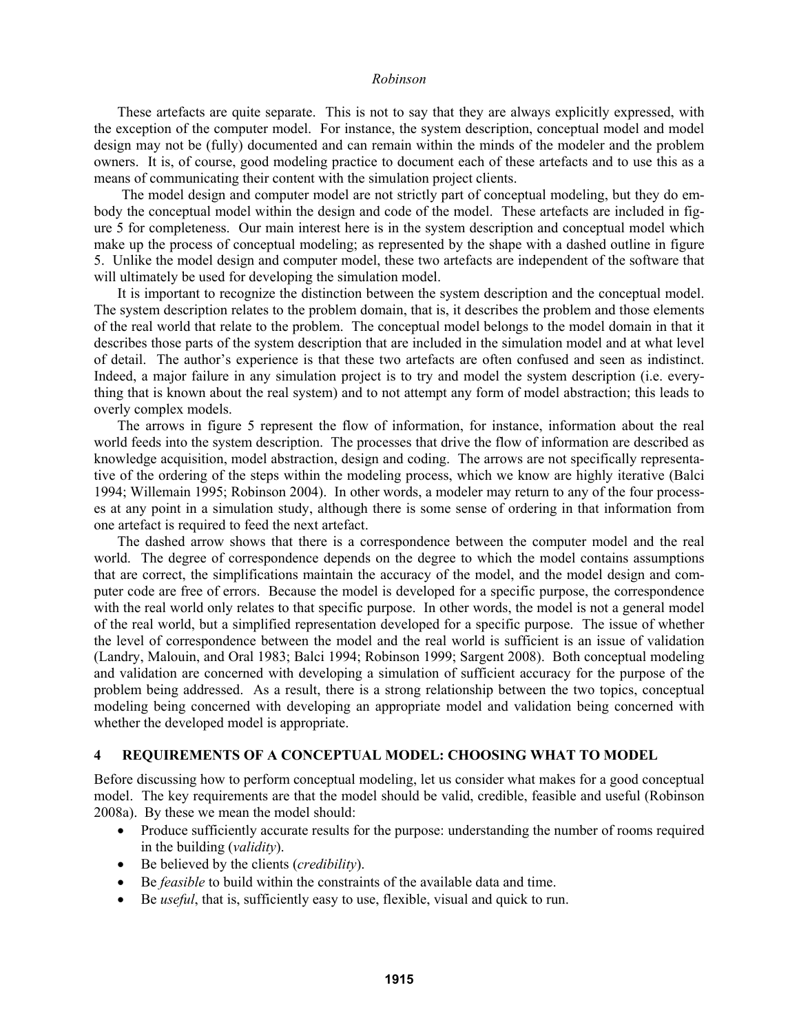These artefacts are quite separate. This is not to say that they are always explicitly expressed, with the exception of the computer model. For instance, the system description, conceptual model and model design may not be (fully) documented and can remain within the minds of the modeler and the problem owners. It is, of course, good modeling practice to document each of these artefacts and to use this as a means of communicating their content with the simulation project clients.

The model design and computer model are not strictly part of conceptual modeling, but they do embody the conceptual model within the design and code of the model. These artefacts are included in figure 5 for completeness. Our main interest here is in the system description and conceptual model which make up the process of conceptual modeling; as represented by the shape with a dashed outline in figure 5. Unlike the model design and computer model, these two artefacts are independent of the software that will ultimately be used for developing the simulation model.

 It is important to recognize the distinction between the system description and the conceptual model. The system description relates to the problem domain, that is, it describes the problem and those elements of the real world that relate to the problem. The conceptual model belongs to the model domain in that it describes those parts of the system description that are included in the simulation model and at what level of detail. The author's experience is that these two artefacts are often confused and seen as indistinct. Indeed, a major failure in any simulation project is to try and model the system description (i.e. everything that is known about the real system) and to not attempt any form of model abstraction; this leads to overly complex models.

 The arrows in figure 5 represent the flow of information, for instance, information about the real world feeds into the system description. The processes that drive the flow of information are described as knowledge acquisition, model abstraction, design and coding. The arrows are not specifically representative of the ordering of the steps within the modeling process, which we know are highly iterative (Balci 1994; Willemain 1995; Robinson 2004). In other words, a modeler may return to any of the four processes at any point in a simulation study, although there is some sense of ordering in that information from one artefact is required to feed the next artefact.

 The dashed arrow shows that there is a correspondence between the computer model and the real world. The degree of correspondence depends on the degree to which the model contains assumptions that are correct, the simplifications maintain the accuracy of the model, and the model design and computer code are free of errors. Because the model is developed for a specific purpose, the correspondence with the real world only relates to that specific purpose. In other words, the model is not a general model of the real world, but a simplified representation developed for a specific purpose. The issue of whether the level of correspondence between the model and the real world is sufficient is an issue of validation (Landry, Malouin, and Oral 1983; Balci 1994; Robinson 1999; Sargent 2008). Both conceptual modeling and validation are concerned with developing a simulation of sufficient accuracy for the purpose of the problem being addressed. As a result, there is a strong relationship between the two topics, conceptual modeling being concerned with developing an appropriate model and validation being concerned with whether the developed model is appropriate.

## **4 REQUIREMENTS OF A CONCEPTUAL MODEL: CHOOSING WHAT TO MODEL**

Before discussing how to perform conceptual modeling, let us consider what makes for a good conceptual model. The key requirements are that the model should be valid, credible, feasible and useful (Robinson 2008a). By these we mean the model should:

- Produce sufficiently accurate results for the purpose: understanding the number of rooms required in the building (*validity*).
- Be believed by the clients (*credibility*).
- Be *feasible* to build within the constraints of the available data and time.
- Be *useful*, that is, sufficiently easy to use, flexible, visual and quick to run.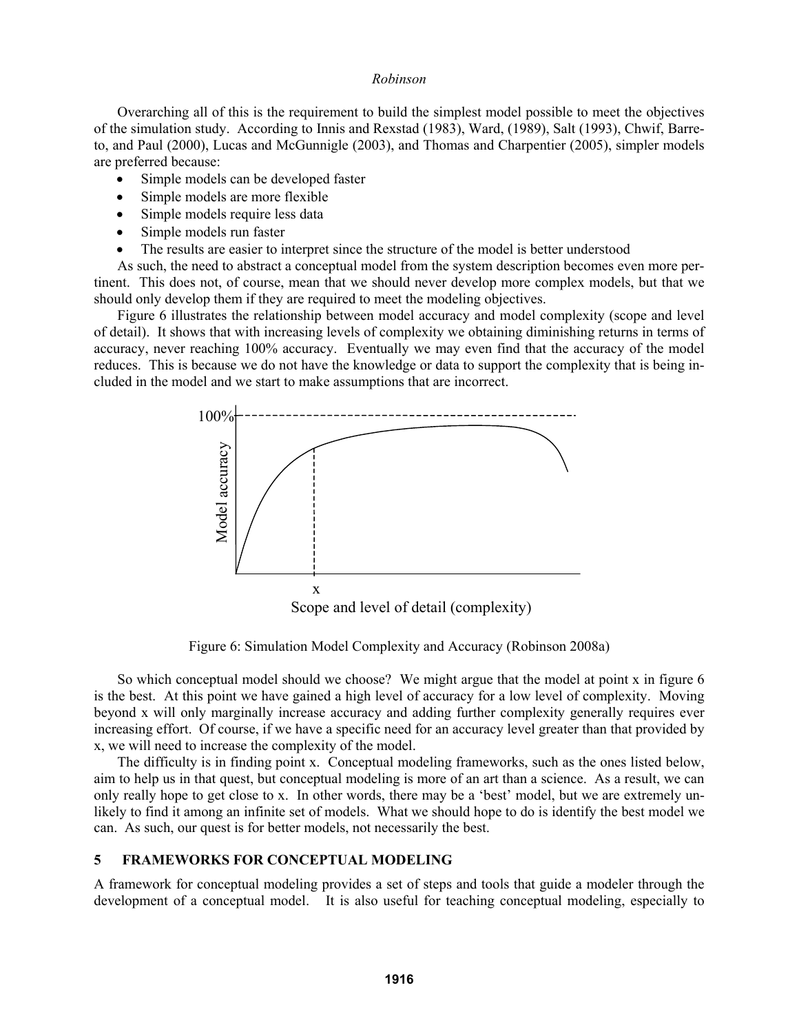Overarching all of this is the requirement to build the simplest model possible to meet the objectives of the simulation study. According to Innis and Rexstad (1983), Ward, (1989), Salt (1993), Chwif, Barreto, and Paul (2000), Lucas and McGunnigle (2003), and Thomas and Charpentier (2005), simpler models are preferred because:

- Simple models can be developed faster
- Simple models are more flexible
- Simple models require less data
- Simple models run faster
- The results are easier to interpret since the structure of the model is better understood

 As such, the need to abstract a conceptual model from the system description becomes even more pertinent. This does not, of course, mean that we should never develop more complex models, but that we should only develop them if they are required to meet the modeling objectives.

 Figure 6 illustrates the relationship between model accuracy and model complexity (scope and level of detail). It shows that with increasing levels of complexity we obtaining diminishing returns in terms of accuracy, never reaching 100% accuracy. Eventually we may even find that the accuracy of the model reduces. This is because we do not have the knowledge or data to support the complexity that is being included in the model and we start to make assumptions that are incorrect.



Scope and level of detail (complexity)

Figure 6: Simulation Model Complexity and Accuracy (Robinson 2008a)

 So which conceptual model should we choose? We might argue that the model at point x in figure 6 is the best. At this point we have gained a high level of accuracy for a low level of complexity. Moving beyond x will only marginally increase accuracy and adding further complexity generally requires ever increasing effort. Of course, if we have a specific need for an accuracy level greater than that provided by x, we will need to increase the complexity of the model.

 The difficulty is in finding point x. Conceptual modeling frameworks, such as the ones listed below, aim to help us in that quest, but conceptual modeling is more of an art than a science. As a result, we can only really hope to get close to x. In other words, there may be a 'best' model, but we are extremely unlikely to find it among an infinite set of models. What we should hope to do is identify the best model we can. As such, our quest is for better models, not necessarily the best.

# **5 FRAMEWORKS FOR CONCEPTUAL MODELING**

A framework for conceptual modeling provides a set of steps and tools that guide a modeler through the development of a conceptual model. It is also useful for teaching conceptual modeling, especially to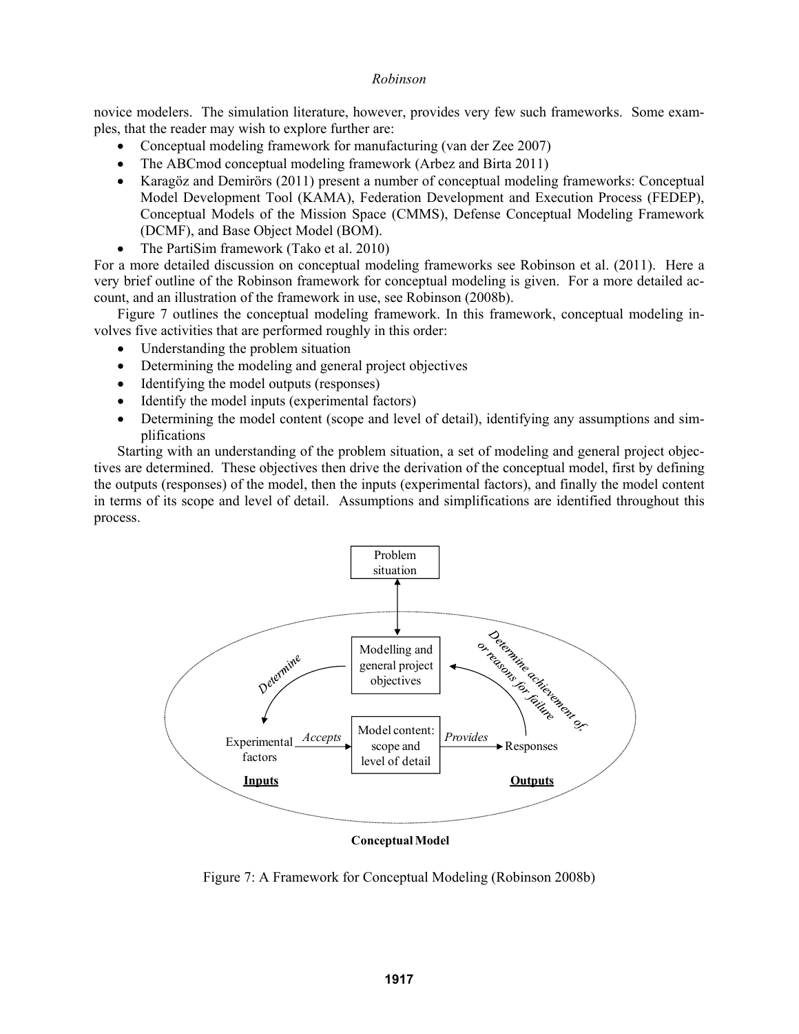novice modelers. The simulation literature, however, provides very few such frameworks. Some examples, that the reader may wish to explore further are:

- Conceptual modeling framework for manufacturing (van der Zee 2007)
- The ABCmod conceptual modeling framework (Arbez and Birta 2011)
- Karagöz and Demirörs (2011) present a number of conceptual modeling frameworks: Conceptual Model Development Tool (KAMA), Federation Development and Execution Process (FEDEP), Conceptual Models of the Mission Space (CMMS), Defense Conceptual Modeling Framework (DCMF), and Base Object Model (BOM).
- The PartiSim framework (Tako et al. 2010)

For a more detailed discussion on conceptual modeling frameworks see Robinson et al. (2011). Here a very brief outline of the Robinson framework for conceptual modeling is given. For a more detailed account, and an illustration of the framework in use, see Robinson (2008b).

 Figure 7 outlines the conceptual modeling framework. In this framework, conceptual modeling involves five activities that are performed roughly in this order:

- Understanding the problem situation
- Determining the modeling and general project objectives
- Identifying the model outputs (responses)
- Identify the model inputs (experimental factors)
- Determining the model content (scope and level of detail), identifying any assumptions and simplifications

 Starting with an understanding of the problem situation, a set of modeling and general project objectives are determined. These objectives then drive the derivation of the conceptual model, first by defining the outputs (responses) of the model, then the inputs (experimental factors), and finally the model content in terms of its scope and level of detail. Assumptions and simplifications are identified throughout this process.



# **Conceptual Model**

Figure 7: A Framework for Conceptual Modeling (Robinson 2008b)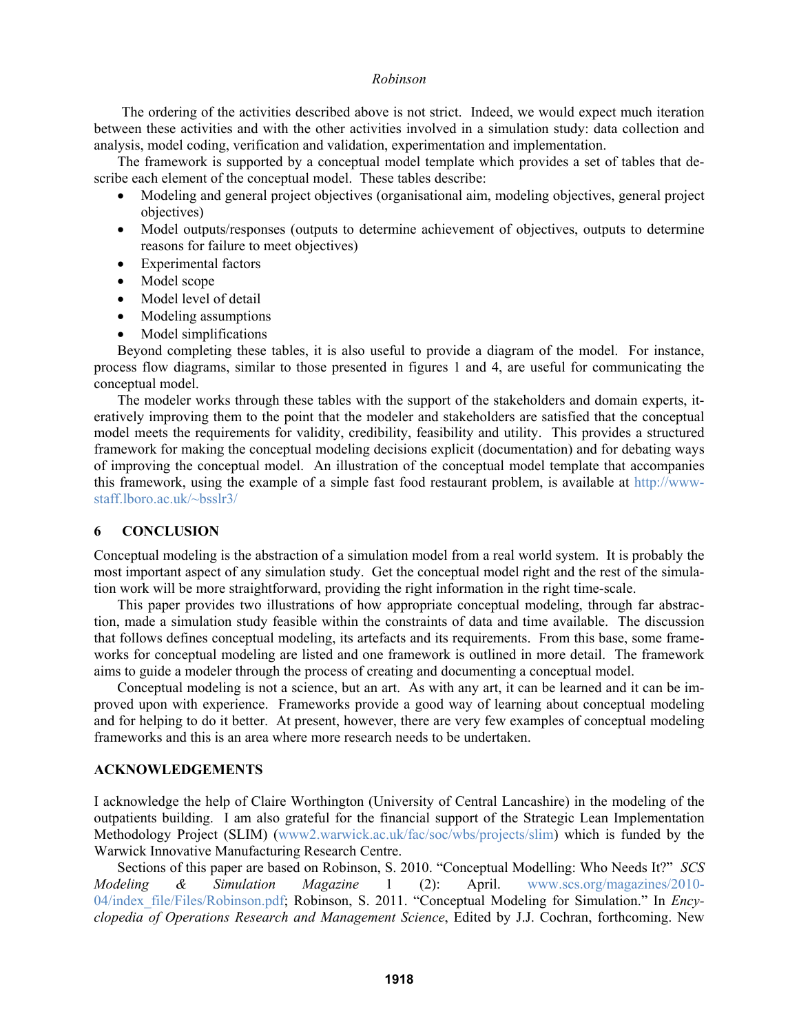The ordering of the activities described above is not strict. Indeed, we would expect much iteration between these activities and with the other activities involved in a simulation study: data collection and analysis, model coding, verification and validation, experimentation and implementation.

 The framework is supported by a conceptual model template which provides a set of tables that describe each element of the conceptual model. These tables describe:

- Modeling and general project objectives (organisational aim, modeling objectives, general project objectives)
- Model outputs/responses (outputs to determine achievement of objectives, outputs to determine reasons for failure to meet objectives)
- Experimental factors
- Model scope
- Model level of detail
- Modeling assumptions
- Model simplifications

Beyond completing these tables, it is also useful to provide a diagram of the model. For instance, process flow diagrams, similar to those presented in figures 1 and 4, are useful for communicating the conceptual model.

 The modeler works through these tables with the support of the stakeholders and domain experts, iteratively improving them to the point that the modeler and stakeholders are satisfied that the conceptual model meets the requirements for validity, credibility, feasibility and utility. This provides a structured framework for making the conceptual modeling decisions explicit (documentation) and for debating ways of improving the conceptual model. An illustration of the conceptual model template that accompanies this framework, using the example of a simple fast food restaurant problem, is available at http://wwwstaff.lboro.ac.uk/~bsslr3/

#### **6 CONCLUSION**

Conceptual modeling is the abstraction of a simulation model from a real world system. It is probably the most important aspect of any simulation study. Get the conceptual model right and the rest of the simulation work will be more straightforward, providing the right information in the right time-scale.

 This paper provides two illustrations of how appropriate conceptual modeling, through far abstraction, made a simulation study feasible within the constraints of data and time available. The discussion that follows defines conceptual modeling, its artefacts and its requirements. From this base, some frameworks for conceptual modeling are listed and one framework is outlined in more detail. The framework aims to guide a modeler through the process of creating and documenting a conceptual model.

 Conceptual modeling is not a science, but an art. As with any art, it can be learned and it can be improved upon with experience. Frameworks provide a good way of learning about conceptual modeling and for helping to do it better. At present, however, there are very few examples of conceptual modeling frameworks and this is an area where more research needs to be undertaken.

## **ACKNOWLEDGEMENTS**

I acknowledge the help of Claire Worthington (University of Central Lancashire) in the modeling of the outpatients building. I am also grateful for the financial support of the Strategic Lean Implementation Methodology Project (SLIM) (www2.warwick.ac.uk/fac/soc/wbs/projects/slim) which is funded by the Warwick Innovative Manufacturing Research Centre.

 Sections of this paper are based on Robinson, S. 2010. "Conceptual Modelling: Who Needs It?" *SCS Modeling & Simulation Magazine* 1 (2): April. www.scs.org/magazines/2010- 04/index\_file/Files/Robinson.pdf; Robinson, S. 2011. "Conceptual Modeling for Simulation." In *Encyclopedia of Operations Research and Management Science*, Edited by J.J. Cochran, forthcoming. New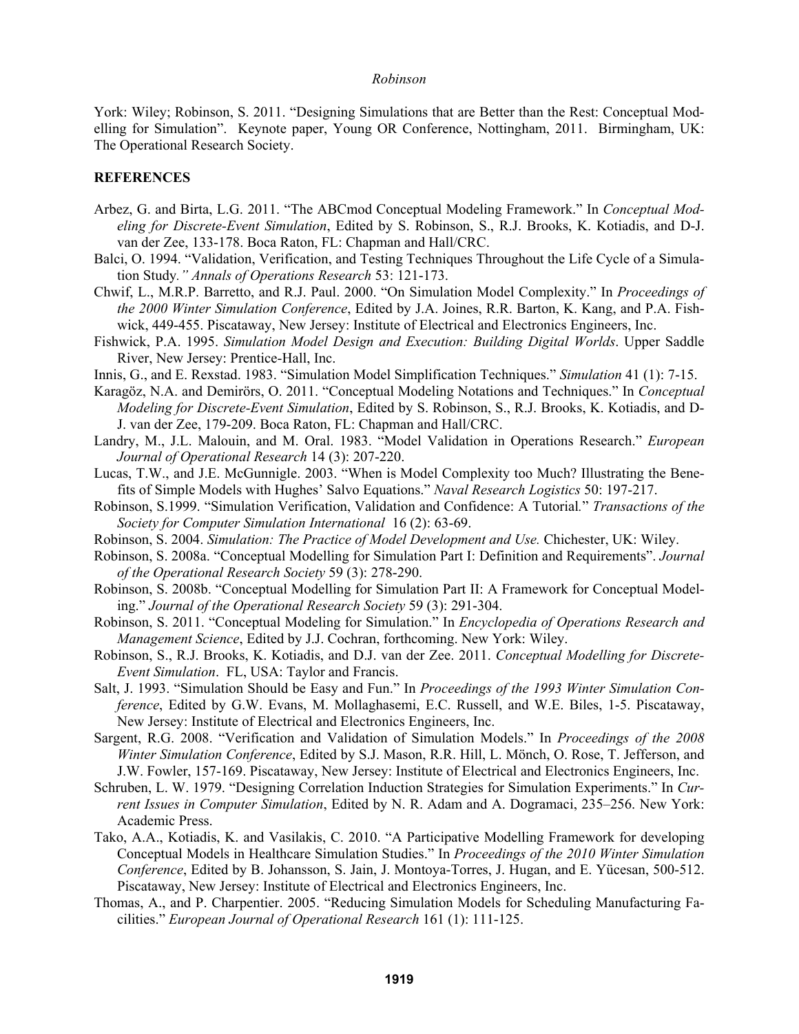York: Wiley; Robinson, S. 2011. "Designing Simulations that are Better than the Rest: Conceptual Modelling for Simulation". Keynote paper, Young OR Conference, Nottingham, 2011. Birmingham, UK: The Operational Research Society.

#### **REFERENCES**

- Arbez, G. and Birta, L.G. 2011. "The ABCmod Conceptual Modeling Framework." In *Conceptual Modeling for Discrete-Event Simulation*, Edited by S. Robinson, S., R.J. Brooks, K. Kotiadis, and D-J. van der Zee, 133-178. Boca Raton, FL: Chapman and Hall/CRC.
- Balci, O. 1994. "Validation, Verification, and Testing Techniques Throughout the Life Cycle of a Simulation Study*." Annals of Operations Research* 53: 121-173.
- Chwif, L., M.R.P. Barretto, and R.J. Paul. 2000. "On Simulation Model Complexity." In *Proceedings of the 2000 Winter Simulation Conference*, Edited by J.A. Joines, R.R. Barton, K. Kang, and P.A. Fishwick, 449-455. Piscataway, New Jersey: Institute of Electrical and Electronics Engineers, Inc.
- Fishwick, P.A. 1995. *Simulation Model Design and Execution: Building Digital Worlds*. Upper Saddle River, New Jersey: Prentice-Hall, Inc.
- Innis, G., and E. Rexstad. 1983. "Simulation Model Simplification Techniques." *Simulation* 41 (1): 7-15.
- Karagöz, N.A. and Demirörs, O. 2011. "Conceptual Modeling Notations and Techniques." In *Conceptual Modeling for Discrete-Event Simulation*, Edited by S. Robinson, S., R.J. Brooks, K. Kotiadis, and D-J. van der Zee, 179-209. Boca Raton, FL: Chapman and Hall/CRC.
- Landry, M., J.L. Malouin, and M. Oral. 1983. "Model Validation in Operations Research." *European Journal of Operational Research* 14 (3): 207-220.
- Lucas, T.W., and J.E. McGunnigle. 2003. "When is Model Complexity too Much? Illustrating the Benefits of Simple Models with Hughes' Salvo Equations." *Naval Research Logistics* 50: 197-217.
- Robinson, S.1999. "Simulation Verification, Validation and Confidence: A Tutorial*.*" *Transactions of the Society for Computer Simulation International* 16 (2): 63-69.
- Robinson, S. 2004. *Simulation: The Practice of Model Development and Use.* Chichester, UK: Wiley.
- Robinson, S. 2008a. "Conceptual Modelling for Simulation Part I: Definition and Requirements". *Journal of the Operational Research Society* 59 (3): 278-290.
- Robinson, S. 2008b. "Conceptual Modelling for Simulation Part II: A Framework for Conceptual Modeling." *Journal of the Operational Research Society* 59 (3): 291-304.
- Robinson, S. 2011. "Conceptual Modeling for Simulation." In *Encyclopedia of Operations Research and Management Science*, Edited by J.J. Cochran, forthcoming. New York: Wiley.
- Robinson, S., R.J. Brooks, K. Kotiadis, and D.J. van der Zee. 2011. *Conceptual Modelling for Discrete-Event Simulation*. FL, USA: Taylor and Francis.
- Salt, J. 1993. "Simulation Should be Easy and Fun." In *Proceedings of the 1993 Winter Simulation Conference*, Edited by G.W. Evans, M. Mollaghasemi, E.C. Russell, and W.E. Biles, 1-5. Piscataway, New Jersey: Institute of Electrical and Electronics Engineers, Inc.
- Sargent, R.G. 2008. "Verification and Validation of Simulation Models." In *Proceedings of the 2008 Winter Simulation Conference*, Edited by S.J. Mason, R.R. Hill, L. Mönch, O. Rose, T. Jefferson, and J.W. Fowler, 157-169. Piscataway, New Jersey: Institute of Electrical and Electronics Engineers, Inc.
- Schruben, L. W. 1979. "Designing Correlation Induction Strategies for Simulation Experiments." In *Current Issues in Computer Simulation*, Edited by N. R. Adam and A. Dogramaci, 235–256. New York: Academic Press.
- Tako, A.A., Kotiadis, K. and Vasilakis, C. 2010. "A Participative Modelling Framework for developing Conceptual Models in Healthcare Simulation Studies." In *Proceedings of the 2010 Winter Simulation Conference*, Edited by B. Johansson, S. Jain, J. Montoya-Torres, J. Hugan, and E. Yücesan, 500-512. Piscataway, New Jersey: Institute of Electrical and Electronics Engineers, Inc.
- Thomas, A., and P. Charpentier. 2005. "Reducing Simulation Models for Scheduling Manufacturing Facilities." *European Journal of Operational Research* 161 (1): 111-125.